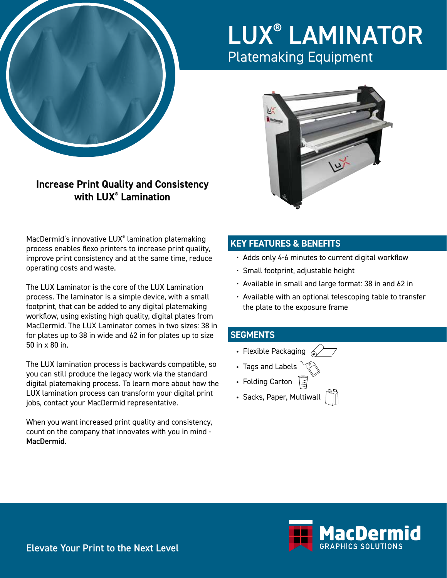

# LUX® LAMINATOR Platemaking Equipment



**Increase Print Quality and Consistency with LUX® Lamination**

MacDermid's innovative LUX® lamination platemaking process enables flexo printers to increase print quality, improve print consistency and at the same time, reduce operating costs and waste.

The LUX Laminator is the core of the LUX Lamination process. The laminator is a simple device, with a small footprint, that can be added to any digital platemaking workflow, using existing high quality, digital plates from MacDermid. The LUX Laminator comes in two sizes: 38 in for plates up to 38 in wide and 62 in for plates up to size 50 in x 80 in.

The LUX lamination process is backwards compatible, so you can still produce the legacy work via the standard digital platemaking process. To learn more about how the LUX lamination process can transform your digital print jobs, contact your MacDermid representative.

When you want increased print quality and consistency, count on the company that innovates with you in mind - MacDermid.

### **KEY FEATURES & BENEFITS**

- Adds only 4-6 minutes to current digital workflow
- Small footprint, adjustable height
- Available in small and large format: 38 in and 62 in
- Available with an optional telescoping table to transfer the plate to the exposure frame

#### **SEGMENTS**

- Flexible Packaging  $\mathcal{L}$
- Tags and Labels
- Folding Carton
- Sacks, Paper, Multiwall